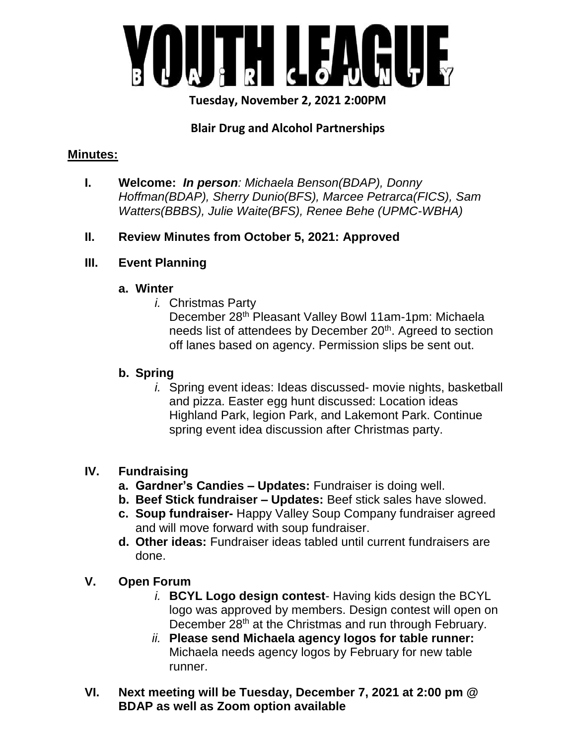

**Tuesday, November 2, 2021 2:00PM**

# **Blair Drug and Alcohol Partnerships**

### **Minutes:**

**I. Welcome:** *In person: Michaela Benson(BDAP), Donny Hoffman(BDAP), Sherry Dunio(BFS), Marcee Petrarca(FICS), Sam Watters(BBBS), Julie Waite(BFS), Renee Behe (UPMC-WBHA)*

## **II. Review Minutes from October 5, 2021: Approved**

## **III. Event Planning**

#### **a. Winter**

*i.* Christmas Party

December 28th Pleasant Valley Bowl 11am-1pm: Michaela needs list of attendees by December 20<sup>th</sup>. Agreed to section off lanes based on agency. Permission slips be sent out.

## **b. Spring**

*i.* Spring event ideas: Ideas discussed- movie nights, basketball and pizza. Easter egg hunt discussed: Location ideas Highland Park, legion Park, and Lakemont Park. Continue spring event idea discussion after Christmas party.

## **IV. Fundraising**

- **a. Gardner's Candies – Updates:** Fundraiser is doing well.
- **b. Beef Stick fundraiser – Updates:** Beef stick sales have slowed.
- **c. Soup fundraiser-** Happy Valley Soup Company fundraiser agreed and will move forward with soup fundraiser.
- **d. Other ideas:** Fundraiser ideas tabled until current fundraisers are done.
- **V. Open Forum**
	- *i.* **BCYL Logo design contest** Having kids design the BCYL logo was approved by members. Design contest will open on December 28<sup>th</sup> at the Christmas and run through February.
	- *ii.* **Please send Michaela agency logos for table runner:** Michaela needs agency logos by February for new table runner.
- **VI. Next meeting will be Tuesday, December 7, 2021 at 2:00 pm @ BDAP as well as Zoom option available**